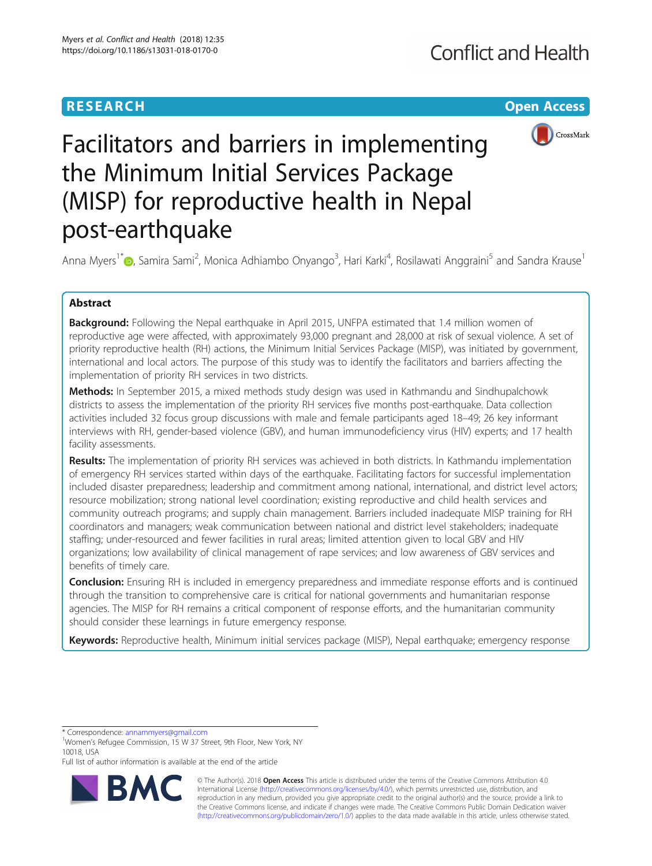# **RESEARCH CHINESE ARCH CHINESE ARCHITECT AND THE CHINESE ARCHITECT ARCHITECT ARCHITECT ARCHITECT ARCHITECT ARCHITECT ARCHITECT ARCHITECT ARCHITECT ARCHITECT ARCHITECT ARCHITECT ARCHITECT ARCHITECT ARCHITECT ARCHITECT A**



# Facilitators and barriers in implementing the Minimum Initial Services Package (MISP) for reproductive health in Nepal post-earthquake

Anna Myers<sup>1\*</sup>@[,](http://orcid.org/0000-0002-2660-4967) Samira Sami<sup>2</sup>, Monica Adhiambo Onyango<sup>3</sup>, Hari Karki<sup>4</sup>, Rosilawati Anggraini<sup>5</sup> and Sandra Krause<sup>1</sup>

## Abstract

Background: Following the Nepal earthquake in April 2015, UNFPA estimated that 1.4 million women of reproductive age were affected, with approximately 93,000 pregnant and 28,000 at risk of sexual violence. A set of priority reproductive health (RH) actions, the Minimum Initial Services Package (MISP), was initiated by government, international and local actors. The purpose of this study was to identify the facilitators and barriers affecting the implementation of priority RH services in two districts.

**Methods:** In September 2015, a mixed methods study design was used in Kathmandu and Sindhupalchowk districts to assess the implementation of the priority RH services five months post-earthquake. Data collection activities included 32 focus group discussions with male and female participants aged 18–49; 26 key informant interviews with RH, gender-based violence (GBV), and human immunodeficiency virus (HIV) experts; and 17 health facility assessments.

Results: The implementation of priority RH services was achieved in both districts. In Kathmandu implementation of emergency RH services started within days of the earthquake. Facilitating factors for successful implementation included disaster preparedness; leadership and commitment among national, international, and district level actors; resource mobilization; strong national level coordination; existing reproductive and child health services and community outreach programs; and supply chain management. Barriers included inadequate MISP training for RH coordinators and managers; weak communication between national and district level stakeholders; inadequate staffing; under-resourced and fewer facilities in rural areas; limited attention given to local GBV and HIV organizations; low availability of clinical management of rape services; and low awareness of GBV services and benefits of timely care.

**Conclusion:** Ensuring RH is included in emergency preparedness and immediate response efforts and is continued through the transition to comprehensive care is critical for national governments and humanitarian response agencies. The MISP for RH remains a critical component of response efforts, and the humanitarian community should consider these learnings in future emergency response.

Keywords: Reproductive health, Minimum initial services package (MISP), Nepal earthquake; emergency response

\* Correspondence: [annammyers@gmail.com](mailto:annammyers@gmail.com) <sup>1</sup>

<sup>1</sup>Women's Refugee Commission, 15 W 37 Street, 9th Floor, New York, NY 10018, USA

Full list of author information is available at the end of the article



© The Author(s). 2018 Open Access This article is distributed under the terms of the Creative Commons Attribution 4.0 International License [\(http://creativecommons.org/licenses/by/4.0/](http://creativecommons.org/licenses/by/4.0/)), which permits unrestricted use, distribution, and reproduction in any medium, provided you give appropriate credit to the original author(s) and the source, provide a link to the Creative Commons license, and indicate if changes were made. The Creative Commons Public Domain Dedication waiver [\(http://creativecommons.org/publicdomain/zero/1.0/](http://creativecommons.org/publicdomain/zero/1.0/)) applies to the data made available in this article, unless otherwise stated.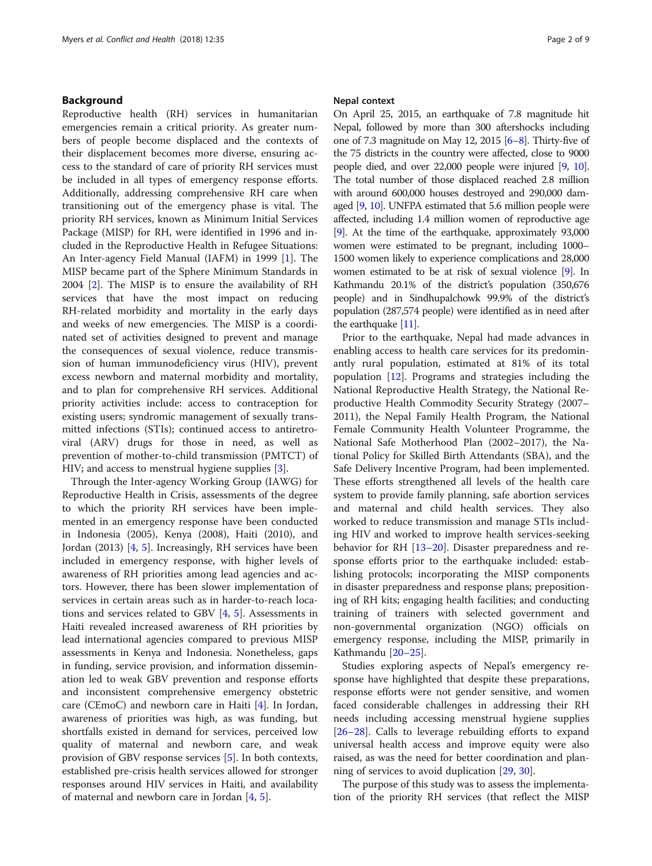## Background

Reproductive health (RH) services in humanitarian emergencies remain a critical priority. As greater numbers of people become displaced and the contexts of their displacement becomes more diverse, ensuring access to the standard of care of priority RH services must be included in all types of emergency response efforts. Additionally, addressing comprehensive RH care when transitioning out of the emergency phase is vital. The priority RH services, known as Minimum Initial Services Package (MISP) for RH, were identified in 1996 and included in the Reproductive Health in Refugee Situations: An Inter-agency Field Manual (IAFM) in 1999 [\[1](#page-8-0)]. The MISP became part of the Sphere Minimum Standards in 2004 [[2\]](#page-8-0). The MISP is to ensure the availability of RH services that have the most impact on reducing RH-related morbidity and mortality in the early days and weeks of new emergencies. The MISP is a coordinated set of activities designed to prevent and manage the consequences of sexual violence, reduce transmission of human immunodeficiency virus (HIV), prevent excess newborn and maternal morbidity and mortality, and to plan for comprehensive RH services. Additional priority activities include: access to contraception for existing users; syndromic management of sexually transmitted infections (STIs); continued access to antiretroviral (ARV) drugs for those in need, as well as prevention of mother-to-child transmission (PMTCT) of HIV; and access to menstrual hygiene supplies [[3](#page-8-0)].

Through the Inter-agency Working Group (IAWG) for Reproductive Health in Crisis, assessments of the degree to which the priority RH services have been implemented in an emergency response have been conducted in Indonesia (2005), Kenya (2008), Haiti (2010), and Jordan (2013) [\[4](#page-8-0), [5](#page-8-0)]. Increasingly, RH services have been included in emergency response, with higher levels of awareness of RH priorities among lead agencies and actors. However, there has been slower implementation of services in certain areas such as in harder-to-reach locations and services related to GBV [\[4](#page-8-0), [5\]](#page-8-0). Assessments in Haiti revealed increased awareness of RH priorities by lead international agencies compared to previous MISP assessments in Kenya and Indonesia. Nonetheless, gaps in funding, service provision, and information dissemination led to weak GBV prevention and response efforts and inconsistent comprehensive emergency obstetric care (CEmoC) and newborn care in Haiti [[4\]](#page-8-0). In Jordan, awareness of priorities was high, as was funding, but shortfalls existed in demand for services, perceived low quality of maternal and newborn care, and weak provision of GBV response services [[5](#page-8-0)]. In both contexts, established pre-crisis health services allowed for stronger responses around HIV services in Haiti, and availability of maternal and newborn care in Jordan [\[4](#page-8-0), [5](#page-8-0)].

#### Nepal context

On April 25, 2015, an earthquake of 7.8 magnitude hit Nepal, followed by more than 300 aftershocks including one of 7.3 magnitude on May 12, 2015 [[6](#page-8-0)–[8\]](#page-8-0). Thirty-five of the 75 districts in the country were affected, close to 9000 people died, and over 22,000 people were injured [\[9,](#page-8-0) [10](#page-8-0)]. The total number of those displaced reached 2.8 million with around 600,000 houses destroyed and 290,000 damaged [\[9](#page-8-0), [10](#page-8-0)]. UNFPA estimated that 5.6 million people were affected, including 1.4 million women of reproductive age [[9](#page-8-0)]. At the time of the earthquake, approximately 93,000 women were estimated to be pregnant, including 1000– 1500 women likely to experience complications and 28,000 women estimated to be at risk of sexual violence [\[9\]](#page-8-0). In Kathmandu 20.1% of the district's population (350,676 people) and in Sindhupalchowk 99.9% of the district's population (287,574 people) were identified as in need after the earthquake [[11](#page-8-0)].

Prior to the earthquake, Nepal had made advances in enabling access to health care services for its predominantly rural population, estimated at 81% of its total population  $[12]$  $[12]$ . Programs and strategies including the National Reproductive Health Strategy, the National Reproductive Health Commodity Security Strategy (2007– 2011), the Nepal Family Health Program, the National Female Community Health Volunteer Programme, the National Safe Motherhood Plan (2002–2017), the National Policy for Skilled Birth Attendants (SBA), and the Safe Delivery Incentive Program, had been implemented. These efforts strengthened all levels of the health care system to provide family planning, safe abortion services and maternal and child health services. They also worked to reduce transmission and manage STIs including HIV and worked to improve health services-seeking behavior for RH [\[13](#page-8-0)–[20\]](#page-8-0). Disaster preparedness and response efforts prior to the earthquake included: establishing protocols; incorporating the MISP components in disaster preparedness and response plans; prepositioning of RH kits; engaging health facilities; and conducting training of trainers with selected government and non-governmental organization (NGO) officials on emergency response, including the MISP, primarily in Kathmandu [[20](#page-8-0)–[25](#page-8-0)].

Studies exploring aspects of Nepal's emergency response have highlighted that despite these preparations, response efforts were not gender sensitive, and women faced considerable challenges in addressing their RH needs including accessing menstrual hygiene supplies [[26](#page-8-0)–[28](#page-8-0)]. Calls to leverage rebuilding efforts to expand universal health access and improve equity were also raised, as was the need for better coordination and planning of services to avoid duplication [\[29](#page-8-0), [30\]](#page-8-0).

The purpose of this study was to assess the implementation of the priority RH services (that reflect the MISP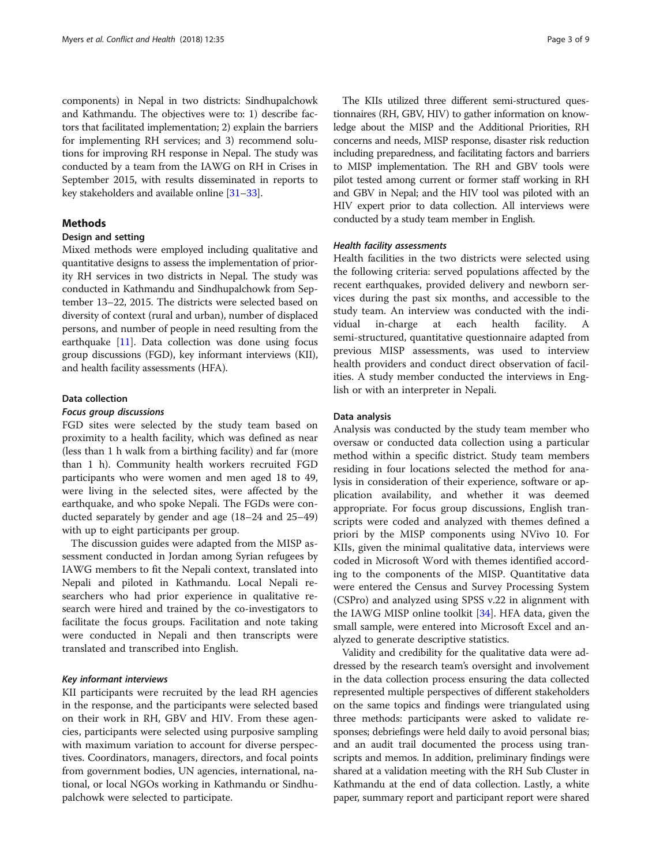components) in Nepal in two districts: Sindhupalchowk and Kathmandu. The objectives were to: 1) describe factors that facilitated implementation; 2) explain the barriers for implementing RH services; and 3) recommend solutions for improving RH response in Nepal. The study was conducted by a team from the IAWG on RH in Crises in September 2015, with results disseminated in reports to key stakeholders and available online [[31](#page-8-0)–[33\]](#page-8-0).

### Methods

## Design and setting

Mixed methods were employed including qualitative and quantitative designs to assess the implementation of priority RH services in two districts in Nepal. The study was conducted in Kathmandu and Sindhupalchowk from September 13–22, 2015. The districts were selected based on diversity of context (rural and urban), number of displaced persons, and number of people in need resulting from the earthquake [\[11\]](#page-8-0). Data collection was done using focus group discussions (FGD), key informant interviews (KII), and health facility assessments (HFA).

#### Data collection

#### Focus group discussions

FGD sites were selected by the study team based on proximity to a health facility, which was defined as near (less than 1 h walk from a birthing facility) and far (more than 1 h). Community health workers recruited FGD participants who were women and men aged 18 to 49, were living in the selected sites, were affected by the earthquake, and who spoke Nepali. The FGDs were conducted separately by gender and age (18–24 and 25–49) with up to eight participants per group.

The discussion guides were adapted from the MISP assessment conducted in Jordan among Syrian refugees by IAWG members to fit the Nepali context, translated into Nepali and piloted in Kathmandu. Local Nepali researchers who had prior experience in qualitative research were hired and trained by the co-investigators to facilitate the focus groups. Facilitation and note taking were conducted in Nepali and then transcripts were translated and transcribed into English.

## Key informant interviews

KII participants were recruited by the lead RH agencies in the response, and the participants were selected based on their work in RH, GBV and HIV. From these agencies, participants were selected using purposive sampling with maximum variation to account for diverse perspectives. Coordinators, managers, directors, and focal points from government bodies, UN agencies, international, national, or local NGOs working in Kathmandu or Sindhupalchowk were selected to participate.

The KIIs utilized three different semi-structured questionnaires (RH, GBV, HIV) to gather information on knowledge about the MISP and the Additional Priorities, RH concerns and needs, MISP response, disaster risk reduction including preparedness, and facilitating factors and barriers to MISP implementation. The RH and GBV tools were pilot tested among current or former staff working in RH and GBV in Nepal; and the HIV tool was piloted with an HIV expert prior to data collection. All interviews were conducted by a study team member in English.

### Health facility assessments

Health facilities in the two districts were selected using the following criteria: served populations affected by the recent earthquakes, provided delivery and newborn services during the past six months, and accessible to the study team. An interview was conducted with the individual in-charge at each health facility. A semi-structured, quantitative questionnaire adapted from previous MISP assessments, was used to interview health providers and conduct direct observation of facilities. A study member conducted the interviews in English or with an interpreter in Nepali.

#### Data analysis

Analysis was conducted by the study team member who oversaw or conducted data collection using a particular method within a specific district. Study team members residing in four locations selected the method for analysis in consideration of their experience, software or application availability, and whether it was deemed appropriate. For focus group discussions, English transcripts were coded and analyzed with themes defined a priori by the MISP components using NVivo 10. For KIIs, given the minimal qualitative data, interviews were coded in Microsoft Word with themes identified according to the components of the MISP. Quantitative data were entered the Census and Survey Processing System (CSPro) and analyzed using SPSS v.22 in alignment with the IAWG MISP online toolkit [\[34\]](#page-8-0). HFA data, given the small sample, were entered into Microsoft Excel and analyzed to generate descriptive statistics.

Validity and credibility for the qualitative data were addressed by the research team's oversight and involvement in the data collection process ensuring the data collected represented multiple perspectives of different stakeholders on the same topics and findings were triangulated using three methods: participants were asked to validate responses; debriefings were held daily to avoid personal bias; and an audit trail documented the process using transcripts and memos. In addition, preliminary findings were shared at a validation meeting with the RH Sub Cluster in Kathmandu at the end of data collection. Lastly, a white paper, summary report and participant report were shared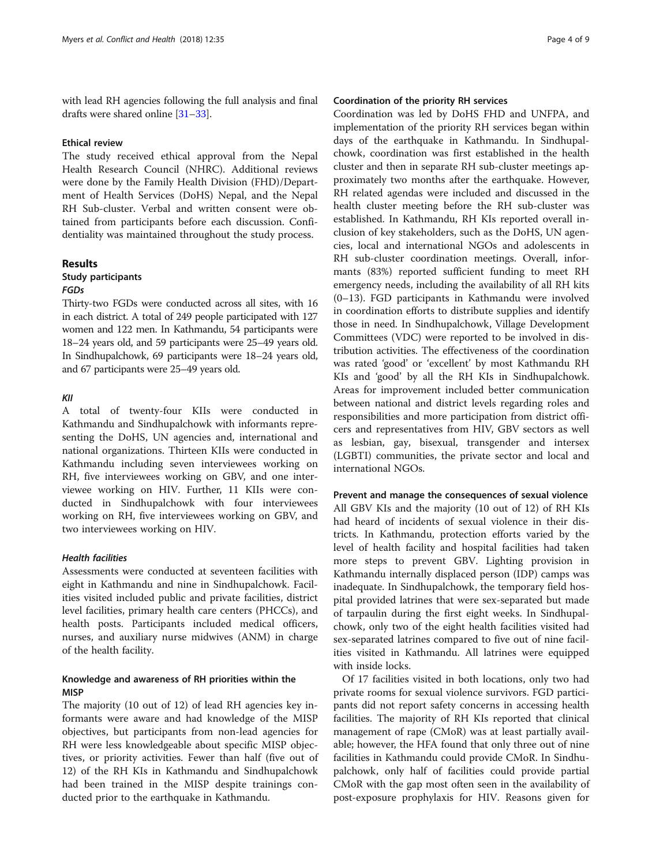with lead RH agencies following the full analysis and final drafts were shared online [\[31](#page-8-0)–[33](#page-8-0)].

## Ethical review

The study received ethical approval from the Nepal Health Research Council (NHRC). Additional reviews were done by the Family Health Division (FHD)/Department of Health Services (DoHS) Nepal, and the Nepal RH Sub-cluster. Verbal and written consent were obtained from participants before each discussion. Confidentiality was maintained throughout the study process.

### Results

## Study participants

### FGDs

Thirty-two FGDs were conducted across all sites, with 16 in each district. A total of 249 people participated with 127 women and 122 men. In Kathmandu, 54 participants were 18–24 years old, and 59 participants were 25–49 years old. In Sindhupalchowk, 69 participants were 18–24 years old, and 67 participants were 25–49 years old.

## KII

A total of twenty-four KIIs were conducted in Kathmandu and Sindhupalchowk with informants representing the DoHS, UN agencies and, international and national organizations. Thirteen KIIs were conducted in Kathmandu including seven interviewees working on RH, five interviewees working on GBV, and one interviewee working on HIV. Further, 11 KIIs were conducted in Sindhupalchowk with four interviewees working on RH, five interviewees working on GBV, and two interviewees working on HIV.

## Health facilities

Assessments were conducted at seventeen facilities with eight in Kathmandu and nine in Sindhupalchowk. Facilities visited included public and private facilities, district level facilities, primary health care centers (PHCCs), and health posts. Participants included medical officers, nurses, and auxiliary nurse midwives (ANM) in charge of the health facility.

## Knowledge and awareness of RH priorities within the MISP

The majority (10 out of 12) of lead RH agencies key informants were aware and had knowledge of the MISP objectives, but participants from non-lead agencies for RH were less knowledgeable about specific MISP objectives, or priority activities. Fewer than half (five out of 12) of the RH KIs in Kathmandu and Sindhupalchowk had been trained in the MISP despite trainings conducted prior to the earthquake in Kathmandu.

## Coordination of the priority RH services

Coordination was led by DoHS FHD and UNFPA, and implementation of the priority RH services began within days of the earthquake in Kathmandu. In Sindhupalchowk, coordination was first established in the health cluster and then in separate RH sub-cluster meetings approximately two months after the earthquake. However, RH related agendas were included and discussed in the health cluster meeting before the RH sub-cluster was established. In Kathmandu, RH KIs reported overall inclusion of key stakeholders, such as the DoHS, UN agencies, local and international NGOs and adolescents in RH sub-cluster coordination meetings. Overall, informants (83%) reported sufficient funding to meet RH emergency needs, including the availability of all RH kits (0–13). FGD participants in Kathmandu were involved in coordination efforts to distribute supplies and identify those in need. In Sindhupalchowk, Village Development Committees (VDC) were reported to be involved in distribution activities. The effectiveness of the coordination was rated 'good' or 'excellent' by most Kathmandu RH KIs and 'good' by all the RH KIs in Sindhupalchowk. Areas for improvement included better communication between national and district levels regarding roles and responsibilities and more participation from district officers and representatives from HIV, GBV sectors as well as lesbian, gay, bisexual, transgender and intersex (LGBTI) communities, the private sector and local and international NGOs.

#### Prevent and manage the consequences of sexual violence

All GBV KIs and the majority (10 out of 12) of RH KIs had heard of incidents of sexual violence in their districts. In Kathmandu, protection efforts varied by the level of health facility and hospital facilities had taken more steps to prevent GBV. Lighting provision in Kathmandu internally displaced person (IDP) camps was inadequate. In Sindhupalchowk, the temporary field hospital provided latrines that were sex-separated but made of tarpaulin during the first eight weeks. In Sindhupalchowk, only two of the eight health facilities visited had sex-separated latrines compared to five out of nine facilities visited in Kathmandu. All latrines were equipped with inside locks.

Of 17 facilities visited in both locations, only two had private rooms for sexual violence survivors. FGD participants did not report safety concerns in accessing health facilities. The majority of RH KIs reported that clinical management of rape (CMoR) was at least partially available; however, the HFA found that only three out of nine facilities in Kathmandu could provide CMoR. In Sindhupalchowk, only half of facilities could provide partial CMoR with the gap most often seen in the availability of post-exposure prophylaxis for HIV. Reasons given for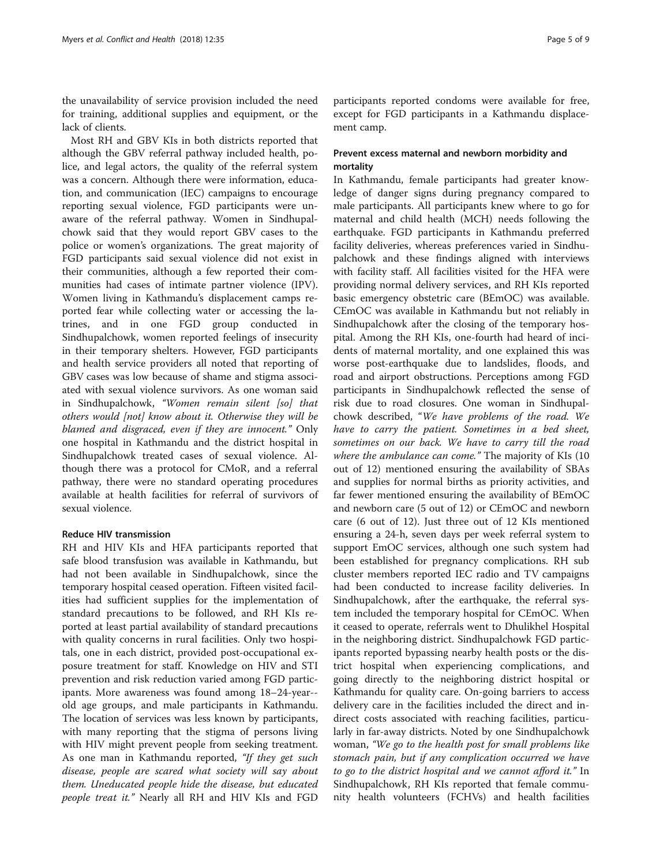the unavailability of service provision included the need for training, additional supplies and equipment, or the lack of clients.

Most RH and GBV KIs in both districts reported that although the GBV referral pathway included health, police, and legal actors, the quality of the referral system was a concern. Although there were information, education, and communication (IEC) campaigns to encourage reporting sexual violence, FGD participants were unaware of the referral pathway. Women in Sindhupalchowk said that they would report GBV cases to the police or women's organizations. The great majority of FGD participants said sexual violence did not exist in their communities, although a few reported their communities had cases of intimate partner violence (IPV). Women living in Kathmandu's displacement camps reported fear while collecting water or accessing the latrines, and in one FGD group conducted in Sindhupalchowk, women reported feelings of insecurity in their temporary shelters. However, FGD participants and health service providers all noted that reporting of GBV cases was low because of shame and stigma associated with sexual violence survivors. As one woman said in Sindhupalchowk, "Women remain silent [so] that others would [not] know about it. Otherwise they will be blamed and disgraced, even if they are innocent." Only one hospital in Kathmandu and the district hospital in Sindhupalchowk treated cases of sexual violence. Although there was a protocol for CMoR, and a referral pathway, there were no standard operating procedures available at health facilities for referral of survivors of sexual violence.

#### Reduce HIV transmission

RH and HIV KIs and HFA participants reported that safe blood transfusion was available in Kathmandu, but had not been available in Sindhupalchowk, since the temporary hospital ceased operation. Fifteen visited facilities had sufficient supplies for the implementation of standard precautions to be followed, and RH KIs reported at least partial availability of standard precautions with quality concerns in rural facilities. Only two hospitals, one in each district, provided post-occupational exposure treatment for staff. Knowledge on HIV and STI prevention and risk reduction varied among FGD participants. More awareness was found among 18–24-year- old age groups, and male participants in Kathmandu. The location of services was less known by participants, with many reporting that the stigma of persons living with HIV might prevent people from seeking treatment. As one man in Kathmandu reported, "If they get such disease, people are scared what society will say about them. Uneducated people hide the disease, but educated people treat it." Nearly all RH and HIV KIs and FGD

participants reported condoms were available for free, except for FGD participants in a Kathmandu displacement camp.

## Prevent excess maternal and newborn morbidity and mortality

In Kathmandu, female participants had greater knowledge of danger signs during pregnancy compared to male participants. All participants knew where to go for maternal and child health (MCH) needs following the earthquake. FGD participants in Kathmandu preferred facility deliveries, whereas preferences varied in Sindhupalchowk and these findings aligned with interviews with facility staff. All facilities visited for the HFA were providing normal delivery services, and RH KIs reported basic emergency obstetric care (BEmOC) was available. CEmOC was available in Kathmandu but not reliably in Sindhupalchowk after the closing of the temporary hospital. Among the RH KIs, one-fourth had heard of incidents of maternal mortality, and one explained this was worse post-earthquake due to landslides, floods, and road and airport obstructions. Perceptions among FGD participants in Sindhupalchowk reflected the sense of risk due to road closures. One woman in Sindhupalchowk described, "We have problems of the road. We have to carry the patient. Sometimes in a bed sheet, sometimes on our back. We have to carry till the road where the ambulance can come." The majority of KIs (10 out of 12) mentioned ensuring the availability of SBAs and supplies for normal births as priority activities, and far fewer mentioned ensuring the availability of BEmOC and newborn care (5 out of 12) or CEmOC and newborn care (6 out of 12). Just three out of 12 KIs mentioned ensuring a 24-h, seven days per week referral system to support EmOC services, although one such system had been established for pregnancy complications. RH sub cluster members reported IEC radio and TV campaigns had been conducted to increase facility deliveries. In Sindhupalchowk, after the earthquake, the referral system included the temporary hospital for CEmOC. When it ceased to operate, referrals went to Dhulikhel Hospital in the neighboring district. Sindhupalchowk FGD participants reported bypassing nearby health posts or the district hospital when experiencing complications, and going directly to the neighboring district hospital or Kathmandu for quality care. On-going barriers to access delivery care in the facilities included the direct and indirect costs associated with reaching facilities, particularly in far-away districts. Noted by one Sindhupalchowk woman, "We go to the health post for small problems like stomach pain, but if any complication occurred we have to go to the district hospital and we cannot afford it." In Sindhupalchowk, RH KIs reported that female community health volunteers (FCHVs) and health facilities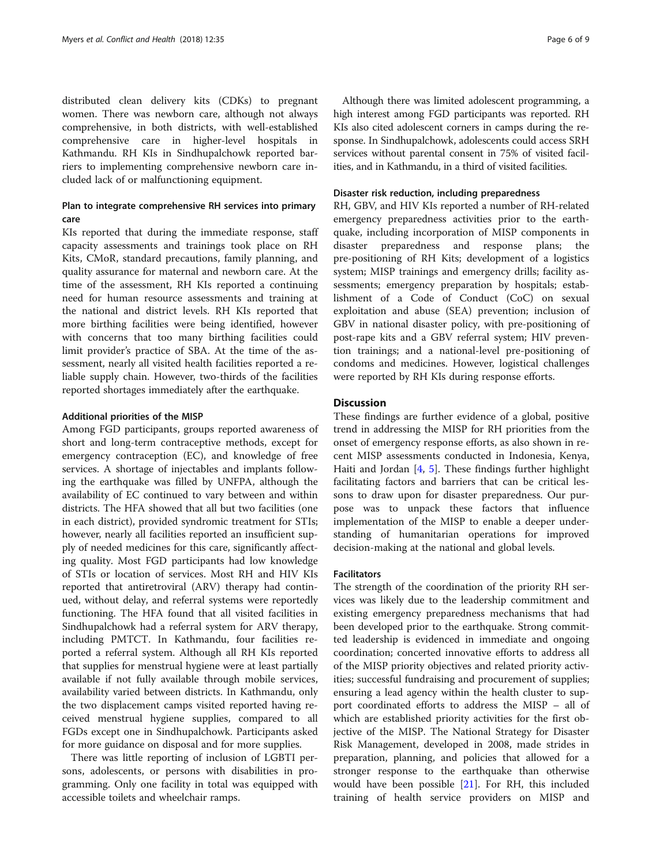distributed clean delivery kits (CDKs) to pregnant women. There was newborn care, although not always comprehensive, in both districts, with well-established comprehensive care in higher-level hospitals in Kathmandu. RH KIs in Sindhupalchowk reported barriers to implementing comprehensive newborn care included lack of or malfunctioning equipment.

## Plan to integrate comprehensive RH services into primary care

KIs reported that during the immediate response, staff capacity assessments and trainings took place on RH Kits, CMoR, standard precautions, family planning, and quality assurance for maternal and newborn care. At the time of the assessment, RH KIs reported a continuing need for human resource assessments and training at the national and district levels. RH KIs reported that more birthing facilities were being identified, however with concerns that too many birthing facilities could limit provider's practice of SBA. At the time of the assessment, nearly all visited health facilities reported a reliable supply chain. However, two-thirds of the facilities reported shortages immediately after the earthquake.

#### Additional priorities of the MISP

Among FGD participants, groups reported awareness of short and long-term contraceptive methods, except for emergency contraception (EC), and knowledge of free services. A shortage of injectables and implants following the earthquake was filled by UNFPA, although the availability of EC continued to vary between and within districts. The HFA showed that all but two facilities (one in each district), provided syndromic treatment for STIs; however, nearly all facilities reported an insufficient supply of needed medicines for this care, significantly affecting quality. Most FGD participants had low knowledge of STIs or location of services. Most RH and HIV KIs reported that antiretroviral (ARV) therapy had continued, without delay, and referral systems were reportedly functioning. The HFA found that all visited facilities in Sindhupalchowk had a referral system for ARV therapy, including PMTCT. In Kathmandu, four facilities reported a referral system. Although all RH KIs reported that supplies for menstrual hygiene were at least partially available if not fully available through mobile services, availability varied between districts. In Kathmandu, only the two displacement camps visited reported having received menstrual hygiene supplies, compared to all FGDs except one in Sindhupalchowk. Participants asked for more guidance on disposal and for more supplies.

There was little reporting of inclusion of LGBTI persons, adolescents, or persons with disabilities in programming. Only one facility in total was equipped with accessible toilets and wheelchair ramps.

Although there was limited adolescent programming, a high interest among FGD participants was reported. RH KIs also cited adolescent corners in camps during the response. In Sindhupalchowk, adolescents could access SRH services without parental consent in 75% of visited facilities, and in Kathmandu, in a third of visited facilities.

#### Disaster risk reduction, including preparedness

RH, GBV, and HIV KIs reported a number of RH-related emergency preparedness activities prior to the earthquake, including incorporation of MISP components in disaster preparedness and response plans; the pre-positioning of RH Kits; development of a logistics system; MISP trainings and emergency drills; facility assessments; emergency preparation by hospitals; establishment of a Code of Conduct (CoC) on sexual exploitation and abuse (SEA) prevention; inclusion of GBV in national disaster policy, with pre-positioning of post-rape kits and a GBV referral system; HIV prevention trainings; and a national-level pre-positioning of condoms and medicines. However, logistical challenges were reported by RH KIs during response efforts.

## **Discussion**

These findings are further evidence of a global, positive trend in addressing the MISP for RH priorities from the onset of emergency response efforts, as also shown in recent MISP assessments conducted in Indonesia, Kenya, Haiti and Jordan [\[4](#page-8-0), [5\]](#page-8-0). These findings further highlight facilitating factors and barriers that can be critical lessons to draw upon for disaster preparedness. Our purpose was to unpack these factors that influence implementation of the MISP to enable a deeper understanding of humanitarian operations for improved decision-making at the national and global levels.

#### **Facilitators**

The strength of the coordination of the priority RH services was likely due to the leadership commitment and existing emergency preparedness mechanisms that had been developed prior to the earthquake. Strong committed leadership is evidenced in immediate and ongoing coordination; concerted innovative efforts to address all of the MISP priority objectives and related priority activities; successful fundraising and procurement of supplies; ensuring a lead agency within the health cluster to support coordinated efforts to address the MISP – all of which are established priority activities for the first objective of the MISP. The National Strategy for Disaster Risk Management, developed in 2008, made strides in preparation, planning, and policies that allowed for a stronger response to the earthquake than otherwise would have been possible [[21](#page-8-0)]. For RH, this included training of health service providers on MISP and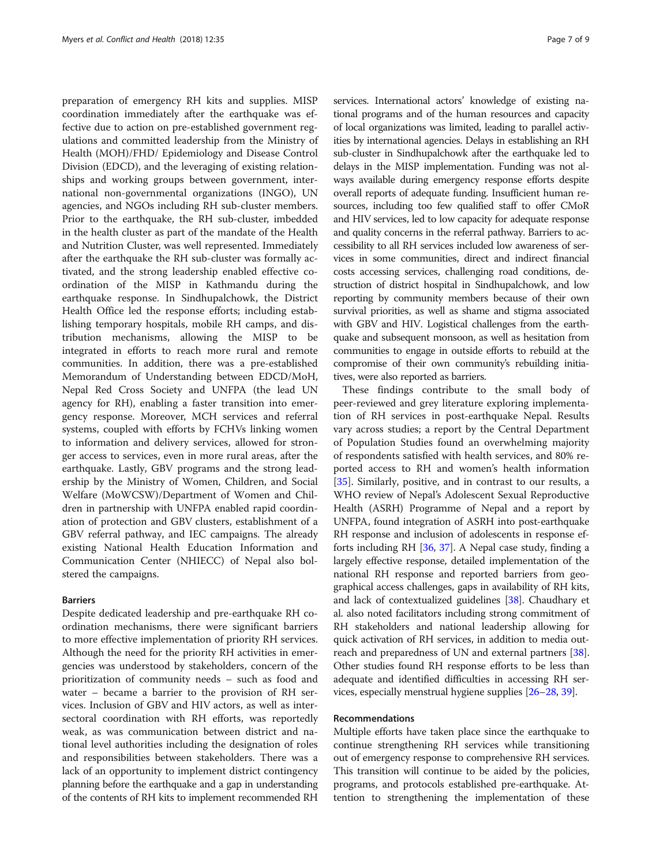preparation of emergency RH kits and supplies. MISP coordination immediately after the earthquake was effective due to action on pre-established government regulations and committed leadership from the Ministry of Health (MOH)/FHD/ Epidemiology and Disease Control Division (EDCD), and the leveraging of existing relationships and working groups between government, international non-governmental organizations (INGO), UN agencies, and NGOs including RH sub-cluster members. Prior to the earthquake, the RH sub-cluster, imbedded in the health cluster as part of the mandate of the Health and Nutrition Cluster, was well represented. Immediately after the earthquake the RH sub-cluster was formally activated, and the strong leadership enabled effective coordination of the MISP in Kathmandu during the earthquake response. In Sindhupalchowk, the District Health Office led the response efforts; including establishing temporary hospitals, mobile RH camps, and distribution mechanisms, allowing the MISP to be integrated in efforts to reach more rural and remote communities. In addition, there was a pre-established Memorandum of Understanding between EDCD/MoH, Nepal Red Cross Society and UNFPA (the lead UN agency for RH), enabling a faster transition into emergency response. Moreover, MCH services and referral systems, coupled with efforts by FCHVs linking women to information and delivery services, allowed for stronger access to services, even in more rural areas, after the earthquake. Lastly, GBV programs and the strong leadership by the Ministry of Women, Children, and Social Welfare (MoWCSW)/Department of Women and Children in partnership with UNFPA enabled rapid coordination of protection and GBV clusters, establishment of a GBV referral pathway, and IEC campaigns. The already existing National Health Education Information and Communication Center (NHIECC) of Nepal also bolstered the campaigns.

#### Barriers

Despite dedicated leadership and pre-earthquake RH coordination mechanisms, there were significant barriers to more effective implementation of priority RH services. Although the need for the priority RH activities in emergencies was understood by stakeholders, concern of the prioritization of community needs – such as food and water – became a barrier to the provision of RH services. Inclusion of GBV and HIV actors, as well as intersectoral coordination with RH efforts, was reportedly weak, as was communication between district and national level authorities including the designation of roles and responsibilities between stakeholders. There was a lack of an opportunity to implement district contingency planning before the earthquake and a gap in understanding of the contents of RH kits to implement recommended RH services. International actors' knowledge of existing national programs and of the human resources and capacity of local organizations was limited, leading to parallel activities by international agencies. Delays in establishing an RH sub-cluster in Sindhupalchowk after the earthquake led to delays in the MISP implementation. Funding was not always available during emergency response efforts despite overall reports of adequate funding. Insufficient human resources, including too few qualified staff to offer CMoR and HIV services, led to low capacity for adequate response and quality concerns in the referral pathway. Barriers to accessibility to all RH services included low awareness of services in some communities, direct and indirect financial costs accessing services, challenging road conditions, destruction of district hospital in Sindhupalchowk, and low reporting by community members because of their own survival priorities, as well as shame and stigma associated with GBV and HIV. Logistical challenges from the earthquake and subsequent monsoon, as well as hesitation from communities to engage in outside efforts to rebuild at the compromise of their own community's rebuilding initiatives, were also reported as barriers.

These findings contribute to the small body of peer-reviewed and grey literature exploring implementation of RH services in post-earthquake Nepal. Results vary across studies; a report by the Central Department of Population Studies found an overwhelming majority of respondents satisfied with health services, and 80% reported access to RH and women's health information [[35\]](#page-8-0). Similarly, positive, and in contrast to our results, a WHO review of Nepal's Adolescent Sexual Reproductive Health (ASRH) Programme of Nepal and a report by UNFPA, found integration of ASRH into post-earthquake RH response and inclusion of adolescents in response efforts including RH [\[36](#page-8-0), [37\]](#page-8-0). A Nepal case study, finding a largely effective response, detailed implementation of the national RH response and reported barriers from geographical access challenges, gaps in availability of RH kits, and lack of contextualized guidelines [\[38\]](#page-8-0). Chaudhary et al. also noted facilitators including strong commitment of RH stakeholders and national leadership allowing for quick activation of RH services, in addition to media outreach and preparedness of UN and external partners [[38](#page-8-0)]. Other studies found RH response efforts to be less than adequate and identified difficulties in accessing RH services, especially menstrual hygiene supplies [\[26](#page-8-0)–[28](#page-8-0), [39\]](#page-8-0).

## Recommendations

Multiple efforts have taken place since the earthquake to continue strengthening RH services while transitioning out of emergency response to comprehensive RH services. This transition will continue to be aided by the policies, programs, and protocols established pre-earthquake. Attention to strengthening the implementation of these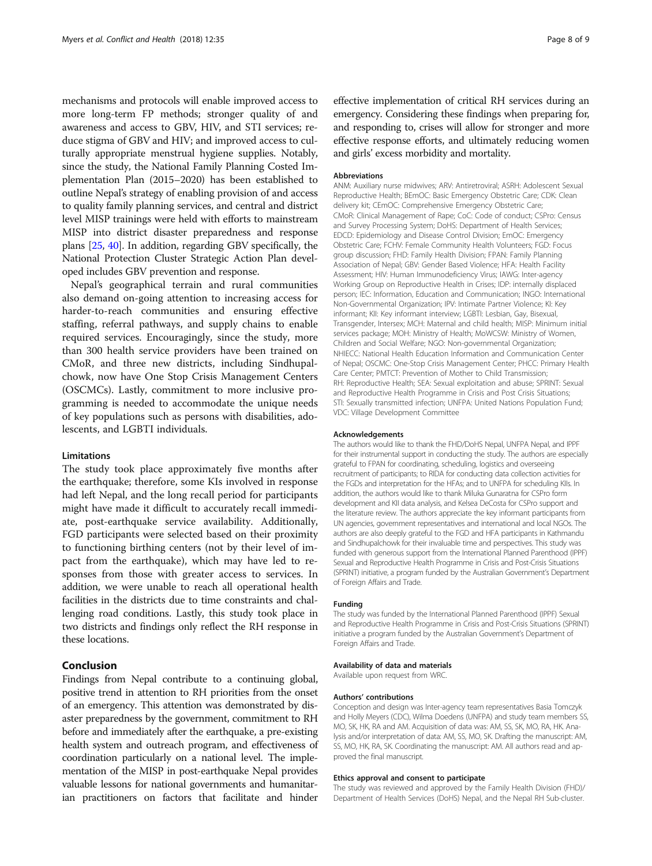mechanisms and protocols will enable improved access to more long-term FP methods; stronger quality of and awareness and access to GBV, HIV, and STI services; reduce stigma of GBV and HIV; and improved access to culturally appropriate menstrual hygiene supplies. Notably, since the study, the National Family Planning Costed Implementation Plan (2015–2020) has been established to outline Nepal's strategy of enabling provision of and access to quality family planning services, and central and district level MISP trainings were held with efforts to mainstream MISP into district disaster preparedness and response plans [[25](#page-8-0), [40](#page-8-0)]. In addition, regarding GBV specifically, the National Protection Cluster Strategic Action Plan developed includes GBV prevention and response.

Nepal's geographical terrain and rural communities also demand on-going attention to increasing access for harder-to-reach communities and ensuring effective staffing, referral pathways, and supply chains to enable required services. Encouragingly, since the study, more than 300 health service providers have been trained on CMoR, and three new districts, including Sindhupalchowk, now have One Stop Crisis Management Centers (OSCMCs). Lastly, commitment to more inclusive programming is needed to accommodate the unique needs of key populations such as persons with disabilities, adolescents, and LGBTI individuals.

#### Limitations

The study took place approximately five months after the earthquake; therefore, some KIs involved in response had left Nepal, and the long recall period for participants might have made it difficult to accurately recall immediate, post-earthquake service availability. Additionally, FGD participants were selected based on their proximity to functioning birthing centers (not by their level of impact from the earthquake), which may have led to responses from those with greater access to services. In addition, we were unable to reach all operational health facilities in the districts due to time constraints and challenging road conditions. Lastly, this study took place in two districts and findings only reflect the RH response in these locations.

#### Conclusion

Findings from Nepal contribute to a continuing global, positive trend in attention to RH priorities from the onset of an emergency. This attention was demonstrated by disaster preparedness by the government, commitment to RH before and immediately after the earthquake, a pre-existing health system and outreach program, and effectiveness of coordination particularly on a national level. The implementation of the MISP in post-earthquake Nepal provides valuable lessons for national governments and humanitarian practitioners on factors that facilitate and hinder

effective implementation of critical RH services during an emergency. Considering these findings when preparing for, and responding to, crises will allow for stronger and more effective response efforts, and ultimately reducing women and girls' excess morbidity and mortality.

#### Abbreviations

ANM: Auxiliary nurse midwives; ARV: Antiretroviral; ASRH: Adolescent Sexual Reproductive Health; BEmOC: Basic Emergency Obstetric Care; CDK: Clean delivery kit; CEmOC: Comprehensive Emergency Obstetric Care; CMoR: Clinical Management of Rape; CoC: Code of conduct; CSPro: Census and Survey Processing System; DoHS: Department of Health Services; EDCD: Epidemiology and Disease Control Division; EmOC: Emergency Obstetric Care; FCHV: Female Community Health Volunteers; FGD: Focus group discussion; FHD: Family Health Division; FPAN: Family Planning Association of Nepal; GBV: Gender Based Violence; HFA: Health Facility Assessment; HIV: Human Immunodeficiency Virus; IAWG: Inter-agency Working Group on Reproductive Health in Crises; IDP: internally displaced person; IEC: Information, Education and Communication; INGO: International Non-Governmental Organization; IPV: Intimate Partner Violence; KI: Key informant; KII: Key informant interview; LGBTI: Lesbian, Gay, Bisexual, Transgender, Intersex; MCH: Maternal and child health; MISP: Minimum initial services package; MOH: Ministry of Health; MoWCSW: Ministry of Women, Children and Social Welfare; NGO: Non-governmental Organization; NHIECC: National Health Education Information and Communication Center of Nepal; OSCMC: One-Stop Crisis Management Center; PHCC: Primary Health Care Center; PMTCT: Prevention of Mother to Child Transmission; RH: Reproductive Health; SEA: Sexual exploitation and abuse; SPRINT: Sexual and Reproductive Health Programme in Crisis and Post Crisis Situations; STI: Sexually transmitted infection; UNFPA: United Nations Population Fund; VDC: Village Development Committee

#### Acknowledgements

The authors would like to thank the FHD/DoHS Nepal, UNFPA Nepal, and IPPF for their instrumental support in conducting the study. The authors are especially grateful to FPAN for coordinating, scheduling, logistics and overseeing recruitment of participants; to RIDA for conducting data collection activities for the FGDs and interpretation for the HFAs; and to UNFPA for scheduling KIIs. In addition, the authors would like to thank Miluka Gunaratna for CSPro form development and KII data analysis, and Kelsea DeCosta for CSPro support and the literature review. The authors appreciate the key informant participants from UN agencies, government representatives and international and local NGOs. The authors are also deeply grateful to the FGD and HFA participants in Kathmandu and Sindhupalchowk for their invaluable time and perspectives. This study was funded with generous support from the International Planned Parenthood (IPPF) Sexual and Reproductive Health Programme in Crisis and Post-Crisis Situations (SPRINT) initiative, a program funded by the Australian Government's Department of Foreign Affairs and Trade.

#### Funding

The study was funded by the International Planned Parenthood (IPPF) Sexual and Reproductive Health Programme in Crisis and Post-Crisis Situations (SPRINT) initiative a program funded by the Australian Government's Department of Foreign Affairs and Trade.

#### Availability of data and materials

Available upon request from WRC.

#### Authors' contributions

Conception and design was Inter-agency team representatives Basia Tomczyk and Holly Meyers (CDC), Wilma Doedens (UNFPA) and study team members SS, MO, SK, HK, RA and AM. Acquisition of data was: AM, SS, SK, MO, RA, HK. Analysis and/or interpretation of data: AM, SS, MO, SK. Drafting the manuscript: AM, SS, MO, HK, RA, SK. Coordinating the manuscript: AM. All authors read and approved the final manuscript.

#### Ethics approval and consent to participate

The study was reviewed and approved by the Family Health Division (FHD)/ Department of Health Services (DoHS) Nepal, and the Nepal RH Sub-cluster.